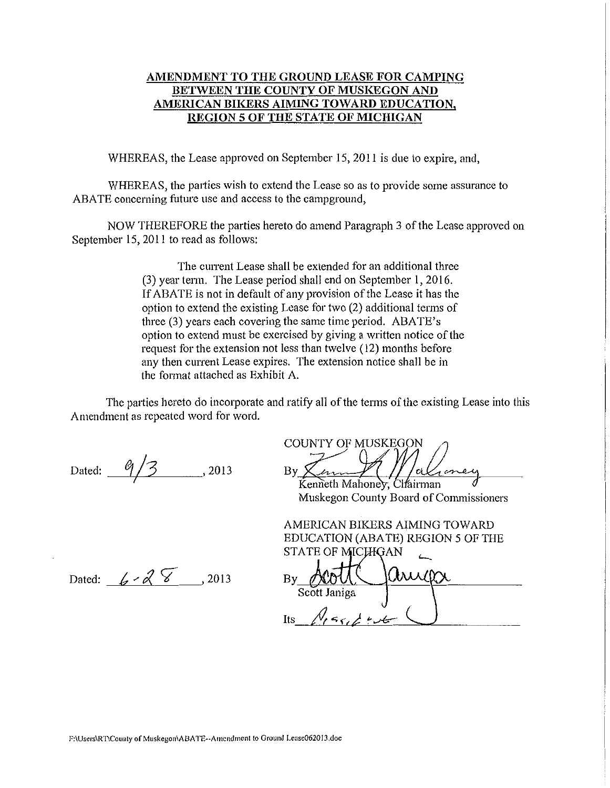### **AMENDMENT TO THE GROUND LEASE FOR CAMPING BETWEEN THE COUNTY OF MUSKEGON AND AMERICAN BIKERS AIMING TOWARD EDUCATION, REGION 5 OF THE STATE OF MICHIGAN**

WHEREAS, the Lease approved on September 15, 2011 is due to expire, and,

WHEREAS, the parties wish to extend the Lease so as to provide some assurance to ABATE concerning future use and access to the campground,

NOW THEREFORE the parties hereto do amend Paragraph 3 of the Lease approved on September 15,2011 to read as follows:

> The current Lease shall be extended for an additional three (3) year term. The Lease period shall end on September 1, 2016. If ABATE is not in default of any provision of the Lease it has the option to extend the existing Lease for two (2) additional terms of three (3) years each covering the same time period. ABATE's option to extend must be exercised by giving a written notice of the request for the extension not less than twelve (12) months before any then current Lease expires. The extension notice shall be in the format attached as Exhibit A.

The parties hereto do incorporate and ratify all of the tenns of the existing Lease into this Amendment as repeated word for word.

Dated:  $9/3$  , 2013

COUNTY OF MUSKEGON<br>By *Channell Mahoney*, Chairman

Muskegon County Board of Commissioners

AMERICAN BIKERS AIMING TOWARD EDUCATION (ABATE) REGION 5 OF THE

Dated:  $6 - 2013$ 

STATE OF MICHIGAN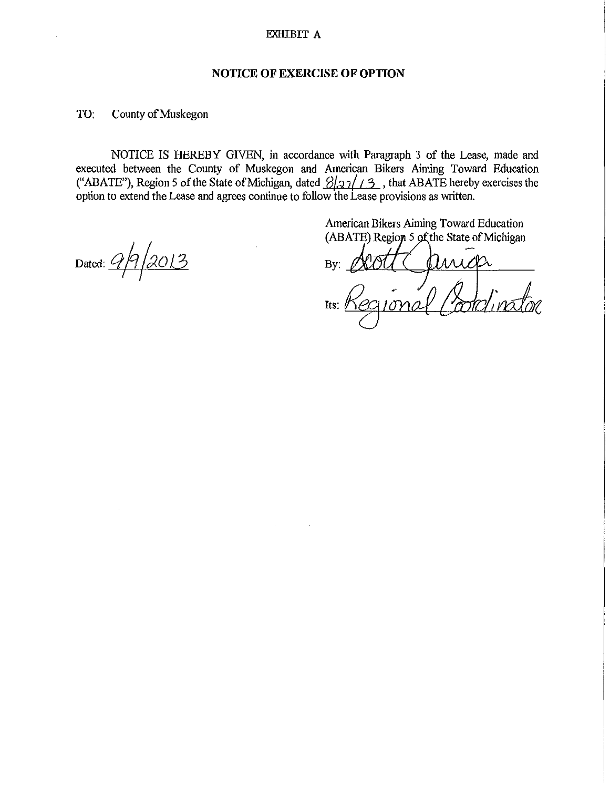#### EXHIBIT A

### **NOTICE OF EXERCISE OF OPTION**

TO: County of Muskegon

NOTICE IS HEREBY GIVEN, in accordance with Paragraph 3 of the Lease, made and executed between the County of Muskegon and American Bikers Aiming Toward Education ("ABATE"), Region 5 of the State of Michigan, dated  $\frac{2}{2}$ //3, that ABATE hereby exercises the option to extend the Lease and agrees continue to follow the Lease provisions as written.

Dated: *Qf*q/2013 I

American Bikers Aiming Toward Education (ABATE) Region 5 of the State of Michigan

By:  $\alpha$  or  $\alpha$ 

 $10na$ Its:  $\theta$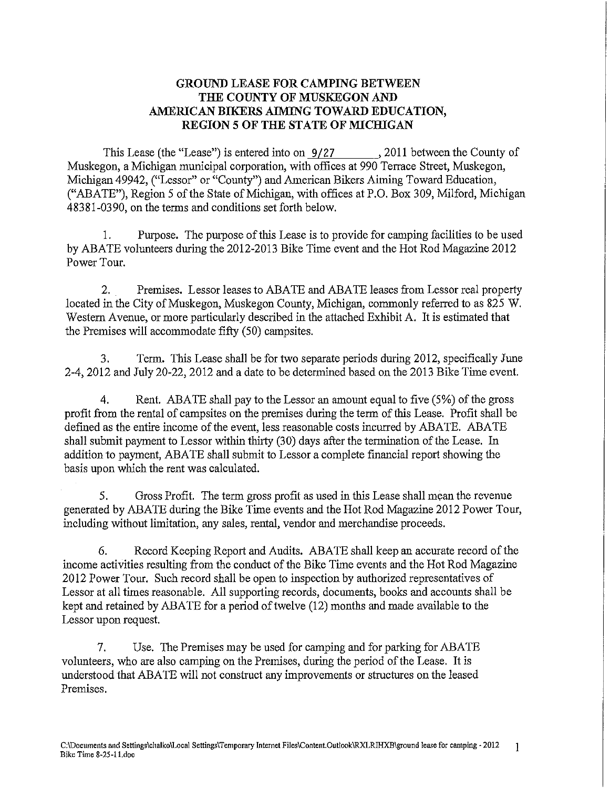# **GROUND LEASE FOR CAMPING BETWEEN THE COUNTY OF MUSKEGON AND AMERICAN BIKERS AIMING TOWARD EDUCATION, REGION 5 OF THE STATE OF MICHIGAN**

This Lease (the "Lease") is entered into on  $\frac{9}{27}$ , 2011 between the County of Muskegon, a Michigan municipal corporation, with offices at 990 Terrace Street, Muskegon, Michigan 49942, ("Lessor" or "County") and American Bikers Aiming Toward Education, ("ABATE"), Region 5 of the State of Michigan, with offices at P.O. Box 309, Milford, Michigan 48381-0390, on the terms and conditions set forth below.

1. Purpose. The purpose of this Lease is to provide for camping facilities to be used by ABATE volunteers during the 2012-2013 Bike Time event and the Hot Rod Magazine 2012 Power Tour.

2. Premises. Lessor leases to ABATE and ABATE leases from Lessor real property located in the City of Muskegon, Muskegon County, Michigan, commonly referred to as 825 W. Western Avenue, or more particularly described in the attached Exhibit A. It is estimated that the Premises will accommodate fifty (50) campsites.

3. Term. This Lease shall be for two separate periods during 2012, specifically June 2-4, 2012 and July 20-22, 2012 and a date to be determined based on the 2013 Bike Time event.

4. Rent. ABATE shall pay to the Lessor an amount equal to five (5%) of the gross profit from the rental of campsites on the premises during the term of this Lease. Profit shall be defined as the entire income of the event, less reasonable costs incurred by ABATE. ABATE shall submit payment to Lessor within thirty (30) days after the termination of the Lease. In addition to payment, ABATE shall submit to Lessor a complete fmancial report showing the basis upon which the rent was calculated.

5. Gross Profit. The term gross profit as used in this Lease shall mean the revenue generated by ABATE during the Bike Time events and the Hot Rod Magazine 2012 Power Tour, including without limitation, any sales, rental, vendor and merchandise proceeds.

6. Record Keeping Report and Audits. ABATE shall keep an accurate record of the income activities resulting from the conduct of the Bike Time events and the Hot Rod Magazine 2012 Power Tour. Such record shall be open to inspection by authorized representatives of Lessor at all times reasonable. All supporting records, documents, books and accounts shall be kept and retained by ABATE for a period of twelve (12) months and made available to the Lessor upon request.

7. Use. The Premises may be used for camping and for parking for ABATE volunteers, who are also camping on the Premises, during the period of the Lease. It is understood that ABATE will not construct any improvements or structures on the leased Premises.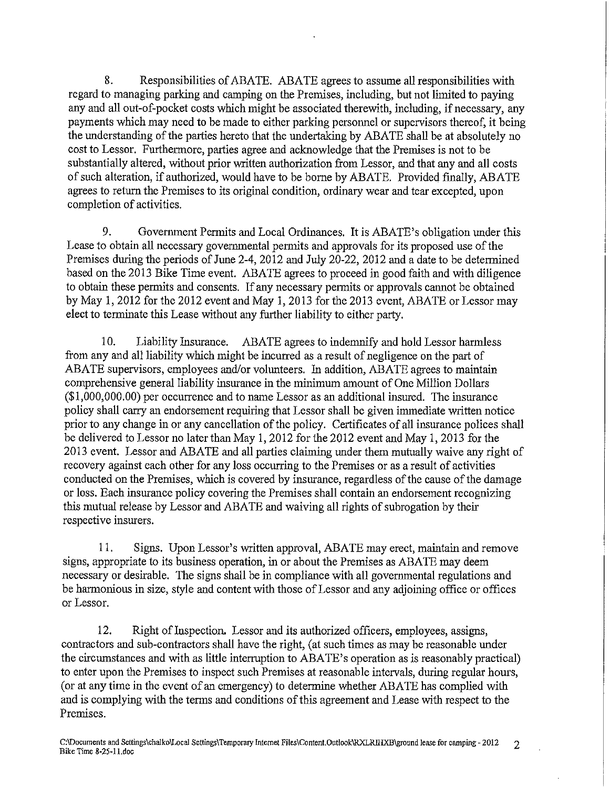8. Responsibilities of ABATE. ABATE agrees to assume all responsibilities with regard to managing parking and camping on the Premises, including, but not limited to paying any and all out-of-pocket costs which might be associated therewith, including, if necessary, any payments which may need to be made to either parking personnel or supervisors thereof, it being the understanding of the parties hereto that the undertaking by ABATE shall be at absolutely no cost to Lessor. Furthermore, parties agree and acknowledge that the Premises is not to be substantially altered, without prior written authorization from Lessor, and that any and all costs of such alteration, if authorized, would have to be borne by ABATE. Provided finally, ABATE agrees to return the Premises to its original condition, ordinary wear and tear excepted, upon completion of activities.

9. Government Permits and Local Ordinances. It is ABATE's obligation under this Lease to obtain all necessary governmental permits and approvals for its proposed use of the Premises during the periods of June 2-4, 2012 and July 20-22, 2012 and a date to be determined based on the 2013 Bike Time event. ABATE agrees to proceed in good faith and with diligence to obtain these permits and consents. If any necessary permits or approvals cannot be obtained by May 1, 2012 for the 2012 event and May 1, 2013 for the 2013 event, ABATE or Lessor may elect to terminate this Lease without any further liability to either party.

10. Liability Insurance. ABATE agrees to indemnify and hold Lessor harmless from any and all liability which might be incuned as a result of negligence on the part of ABATE supervisors, employees and/or volunteers. In addition, ABATE agrees to maintain comprehensive general liability insurance in the minimum amount of One Million Dollars (\$1,000,000.00) per occunence and to name Lessor as an additional insured. The insurance policy shall carry an endorsement requiring that Lessor shall be given immediate written notice prior to any change in or any cancellation of the policy. Certificates of all insurance polices shall be delivered to Lessor no later than May 1, 2012 for the 2012 event and May 1, 2013 for the 2013 event. Lessor and ABATE and all patties claiming under them mutually waive any right of recovery against each other for any loss occurring to the Premises or as a result of activities conducted on the Premises, which is covered by insurance, regardless of the cause of the damage or loss. Each insurance policy covering the Premises shall contain an endorsement recognizing this mutual release by Lessor and ABATE and waiving all rights of subrogation by their respective insurers.

11. Signs. Upon Lessor's written approval, ABATE may erect, maintain and remove signs, appropriate to its business operation, in or about the Premises as ABATE may deem necessary or desirable. The signs shall be in compliance with all governmental regulations and be harmonious in size, style and content with those of Lessor and any adjoining office or offices or Lessor.

12. Right of Inspection. Lessor and its authorized officers, employees, assigns, contractors and sub-contractors shall have the right, (at such times as may be reasonable under the circumstances and with as little intenuption to ABATE's operation as is reasonably practical) to enter upon the Premises to inspect such Premises at reasonable intervals, during regular hours, (or at anytime in the event of an emergency) to determine whether ABATE has complied with and is complying with the terms and conditions of this agreement and Lease with respect to the Premises.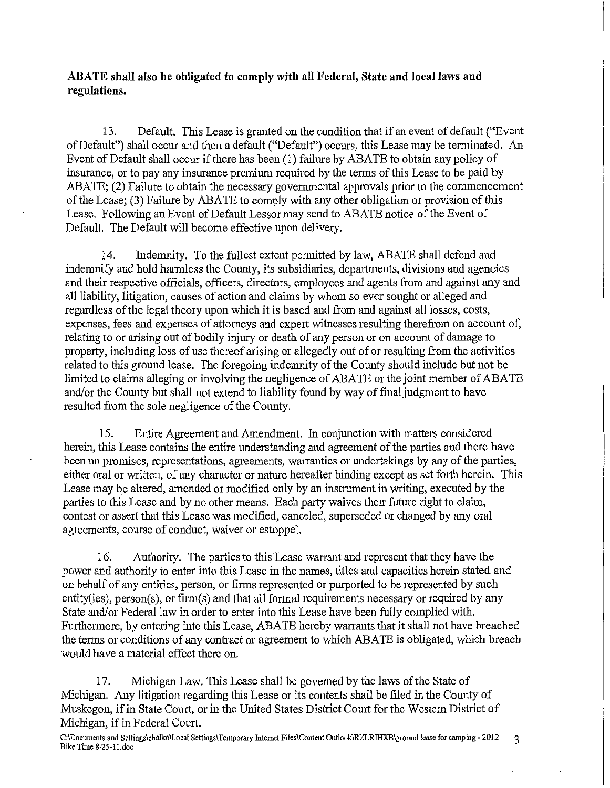## **ABATE shall also be obligated to comply with all Federal, State and local laws and regulations.**

13. Default. This Lease is granted on the condition that if an event of default ("Event of Default") shall occur and then a default ("Default") occurs, this Lease may be terminated. An Event of Default shall occur if there has been (1) failure by ABATE to obtain any policy of insurance, or to pay any insurance premium required by the terms of this Lease to be paid by ABATE; (2) Failure to obtain the necessary governmental approvals prior to the commencement of the Lease; (3) Failure by ABATE to comply with any other obligation or provision of this Lease. Following an Event of Default Lessor may send to ABATE notice of the Event of Default. The Default will become effective upon delivery.

14. Indenmity. To the fullest extent permitted by law, ABATE shall defend and indenmify and hold harmless the County, its subsidiaries, departments, divisions and agencies and their respective officials, officers, directors, employees and agents from and against any and all liability, litigation, causes of action and claims by whom so ever sought or alleged and regardless of the legal theory upon which it is based and from and against all losses, costs, expenses, fees and expenses of attorneys and expert witnesses resulting therefrom on account of, relating to or arising out of bodily injury or death of any person or on account of damage to property, including loss of use thereof arising or allegedly out of or resulting from the activities related to this ground lease. The foregoing indemnity of the County should include but not be limited to claims alleging or involving the negligence of ABATE or the joint member of ABATE and/or the County but shall not extend to liability found by way of final judgment to have resulted from the sole negligence of the County.

15. Entire Agreement and Amendment. In conjunction with matters considered herein, this Lease contains the entire understanding and agreement of the parties and there have been no promises, representations, agreements, warranties or undertakings by any of the parties, either oral or written, of any character or nature hereafter binding except as set forth herein. This Lease may be altered, amended or modified only by an instrument in writing, executed by the parties to this Lease and by no other means. Each party waives their future right to claim, contest or assert that this Lease was modified, canceled, superseded or changed by any oral agreements, course of conduct, waiver or estoppel.

16. Authority. The parties to this Lease warrant and represent that they have the power and authority to enter into this Lease in the names, titles and capacities herein stated and on behalf of any entities, person, or firms represented or purported to be represented by such entity(ies), person(s), or firm(s) and that all formal requirements necessary or required by any State and/or Federal law in order to enter into this Lease have been fully complied with. Furthermore, by entering into this Lease, ABATE hereby warrants that it shall not have breached the terms or conditions of any contract or agreement to which ABATE is obligated, which breach would have a material effect there on.

17. Michigan Law. This Lease shall be governed by the laws of the State of Michigan. Any litigation regarding this Lease or its contents shall be filed in the County of Muskegon, if in State Court, or in the United States District Court for the Western District of Michigan, if in Federal Court.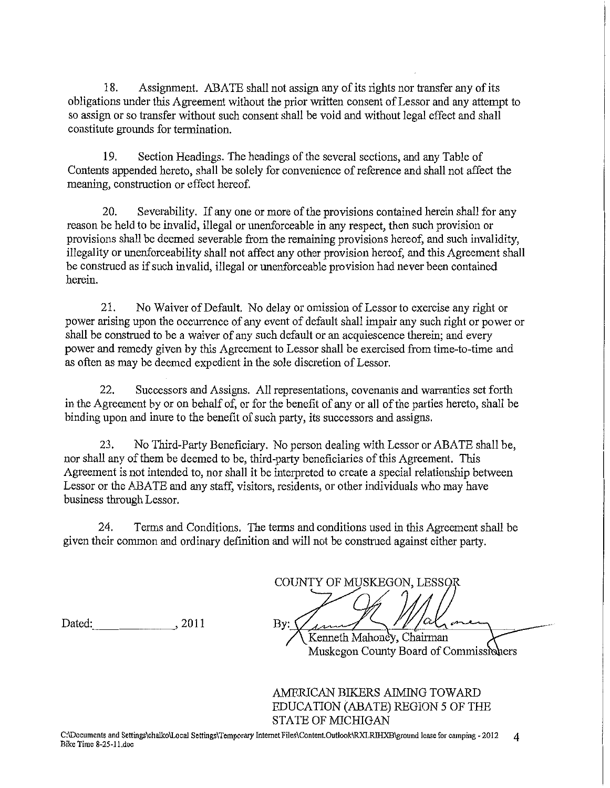18. Assignment. ABATE shall not assign any of its rights nor transfer any of its obligations under this Agreement without the prior written consent of Lessor and any attempt to so assign or so transfer without such consent shall be void and without legal effect and shall constitute grounds for termination.

19. Section Headings. The headings of the several sections, and any Table of Contents appended hereto, shall be solely for convenience of reference and shall not affect the meaning, construction or effect hereof.

20. Severability. If any one or more of the provisions contained herein shall for any reason be held to be invalid, illegal or unenforceable in any respect, then such provision or provisions shall be deemed severable from the remaining provisions hereof, and such invalidity, illegality or unenforceability shall not affect any other provision hereof, and this Agreement shall be construed as if such invalid, illegal or unenforceable provision had never been contained herein.

21. No Waiver of Default. No delay or omission of Lessor to exercise any right or power arising upon the occurrence of any event of default shall impair any such right or power or shall be construed to be a waiver of any such default or an acquiescence therein; and every power and remedy given by this Agreement to Lessor shall be exercised from time-to-time and as often as may be deemed expedient in the sole discretion of Lessor.

22. Successors and Assigns. All representations, covenants and warranties set forth in the Agreement by or on behalf of, or for the benefit of any or all of the parties hereto, shall be binding upon and inure to the benefit of such party, its successors and assigns.

23. No Third-Party Beneficiary. No person dealing with Lessor or ABATE shall be, nor shall any of them be deemed to be, third-party beneficiaries of this Agreement. This Agreement is not intended to, nor shall it be interpreted to create a special relationship between Lessor or the ABATE and any staff, visitors, residents, or other individuals who may have business through Lessor.

24. Terms and Conditions. The terms and conditions used in this Agreement shall be given their common and ordinary defmition and will not be construed against either party.

Dated: , 2011

COUNTY OF MUSKEGON, LESSOR  $By: \S$ Kenneth Mahoney, Chairman Muskegon County Board of Commiss

AMERICAN BIKERS AIMING TOWARD EDUCATION (ABATE) REGION *5* OF THE STATE OF MICHIGAN